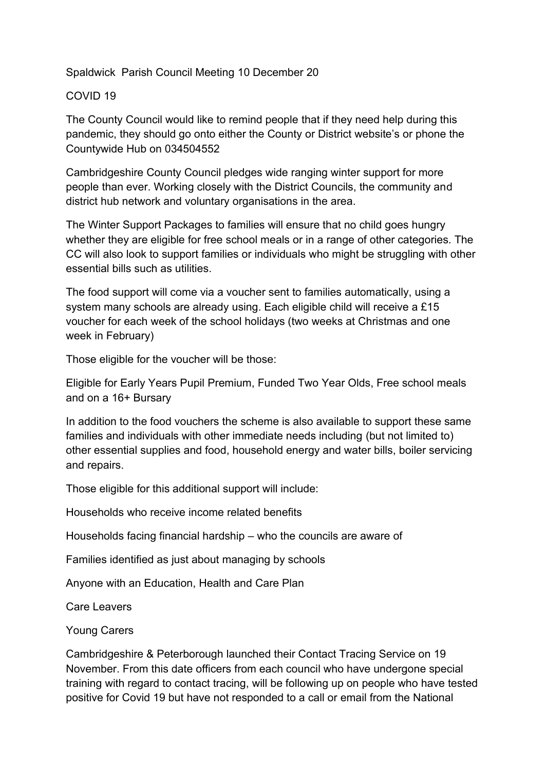Spaldwick Parish Council Meeting 10 December 20

## COVID 19

The County Council would like to remind people that if they need help during this pandemic, they should go onto either the County or District website's or phone the Countywide Hub on 034504552

Cambridgeshire County Council pledges wide ranging winter support for more people than ever. Working closely with the District Councils, the community and district hub network and voluntary organisations in the area.

The Winter Support Packages to families will ensure that no child goes hungry whether they are eligible for free school meals or in a range of other categories. The CC will also look to support families or individuals who might be struggling with other essential bills such as utilities.

The food support will come via a voucher sent to families automatically, using a system many schools are already using. Each eligible child will receive a £15 voucher for each week of the school holidays (two weeks at Christmas and one week in February)

Those eligible for the voucher will be those:

Eligible for Early Years Pupil Premium, Funded Two Year Olds, Free school meals and on a 16+ Bursary

In addition to the food vouchers the scheme is also available to support these same families and individuals with other immediate needs including (but not limited to) other essential supplies and food, household energy and water bills, boiler servicing and repairs.

Those eligible for this additional support will include:

Households who receive income related benefits

Households facing financial hardship – who the councils are aware of

Families identified as just about managing by schools

Anyone with an Education, Health and Care Plan

Care Leavers

Young Carers

Cambridgeshire & Peterborough launched their Contact Tracing Service on 19 November. From this date officers from each council who have undergone special training with regard to contact tracing, will be following up on people who have tested positive for Covid 19 but have not responded to a call or email from the National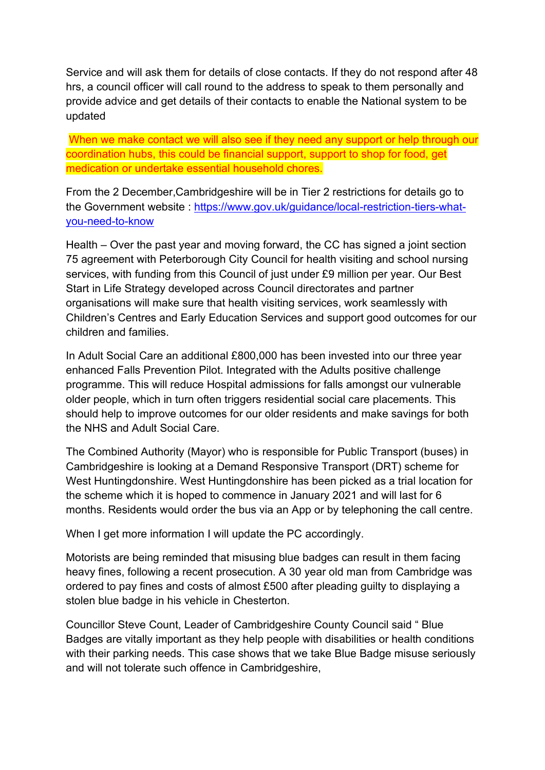Service and will ask them for details of close contacts. If they do not respond after 48 hrs, a council officer will call round to the address to speak to them personally and provide advice and get details of their contacts to enable the National system to be updated

When we make contact we will also see if they need any support or help through our coordination hubs, this could be financial support, support to shop for food, get medication or undertake essential household chores.

From the 2 December,Cambridgeshire will be in Tier 2 restrictions for details go to the Government website : [https://www.gov.uk/guidance/local-restriction-tiers-what](https://www.gov.uk/guidance/local-restriction-tiers-what-you-need-to-know)[you-need-to-know](https://www.gov.uk/guidance/local-restriction-tiers-what-you-need-to-know)

Health – Over the past year and moving forward, the CC has signed a joint section 75 agreement with Peterborough City Council for health visiting and school nursing services, with funding from this Council of just under £9 million per year. Our Best Start in Life Strategy developed across Council directorates and partner organisations will make sure that health visiting services, work seamlessly with Children's Centres and Early Education Services and support good outcomes for our children and families.

In Adult Social Care an additional £800,000 has been invested into our three year enhanced Falls Prevention Pilot. Integrated with the Adults positive challenge programme. This will reduce Hospital admissions for falls amongst our vulnerable older people, which in turn often triggers residential social care placements. This should help to improve outcomes for our older residents and make savings for both the NHS and Adult Social Care.

The Combined Authority (Mayor) who is responsible for Public Transport (buses) in Cambridgeshire is looking at a Demand Responsive Transport (DRT) scheme for West Huntingdonshire. West Huntingdonshire has been picked as a trial location for the scheme which it is hoped to commence in January 2021 and will last for 6 months. Residents would order the bus via an App or by telephoning the call centre.

When I get more information I will update the PC accordingly.

Motorists are being reminded that misusing blue badges can result in them facing heavy fines, following a recent prosecution. A 30 year old man from Cambridge was ordered to pay fines and costs of almost £500 after pleading guilty to displaying a stolen blue badge in his vehicle in Chesterton.

Councillor Steve Count, Leader of Cambridgeshire County Council said " Blue Badges are vitally important as they help people with disabilities or health conditions with their parking needs. This case shows that we take Blue Badge misuse seriously and will not tolerate such offence in Cambridgeshire,